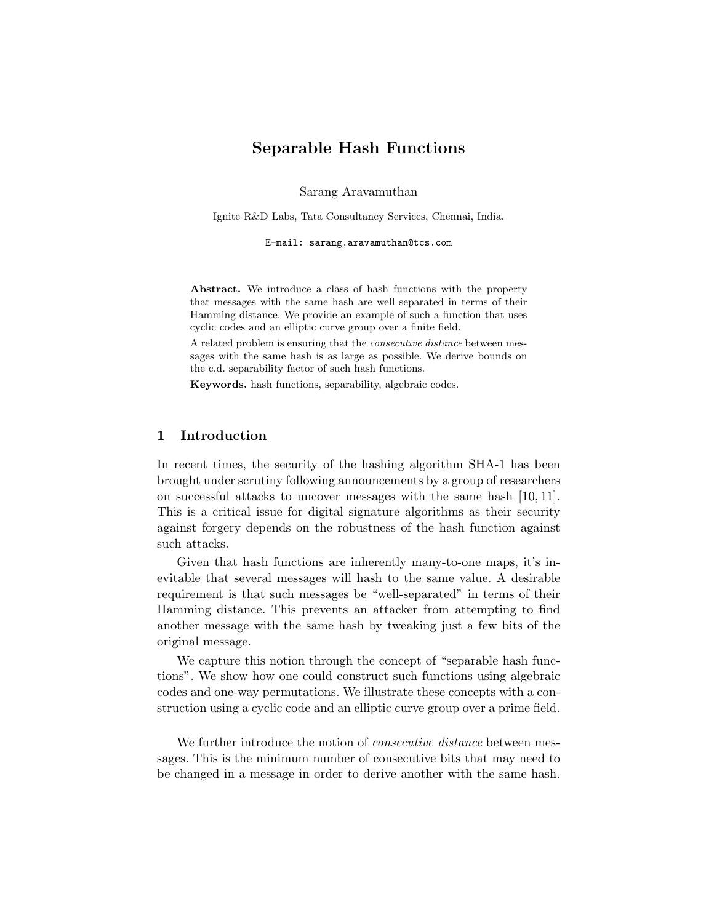# Separable Hash Functions

Sarang Aravamuthan

Ignite R&D Labs, Tata Consultancy Services, Chennai, India.

E-mail: sarang.aravamuthan@tcs.com

Abstract. We introduce a class of hash functions with the property that messages with the same hash are well separated in terms of their Hamming distance. We provide an example of such a function that uses cyclic codes and an elliptic curve group over a finite field.

A related problem is ensuring that the consecutive distance between messages with the same hash is as large as possible. We derive bounds on the c.d. separability factor of such hash functions.

Keywords. hash functions, separability, algebraic codes.

# 1 Introduction

In recent times, the security of the hashing algorithm SHA-1 has been brought under scrutiny following announcements by a group of researchers on successful attacks to uncover messages with the same hash [10, 11]. This is a critical issue for digital signature algorithms as their security against forgery depends on the robustness of the hash function against such attacks.

Given that hash functions are inherently many-to-one maps, it's inevitable that several messages will hash to the same value. A desirable requirement is that such messages be "well-separated" in terms of their Hamming distance. This prevents an attacker from attempting to find another message with the same hash by tweaking just a few bits of the original message.

We capture this notion through the concept of "separable hash functions". We show how one could construct such functions using algebraic codes and one-way permutations. We illustrate these concepts with a construction using a cyclic code and an elliptic curve group over a prime field.

We further introduce the notion of *consecutive distance* between messages. This is the minimum number of consecutive bits that may need to be changed in a message in order to derive another with the same hash.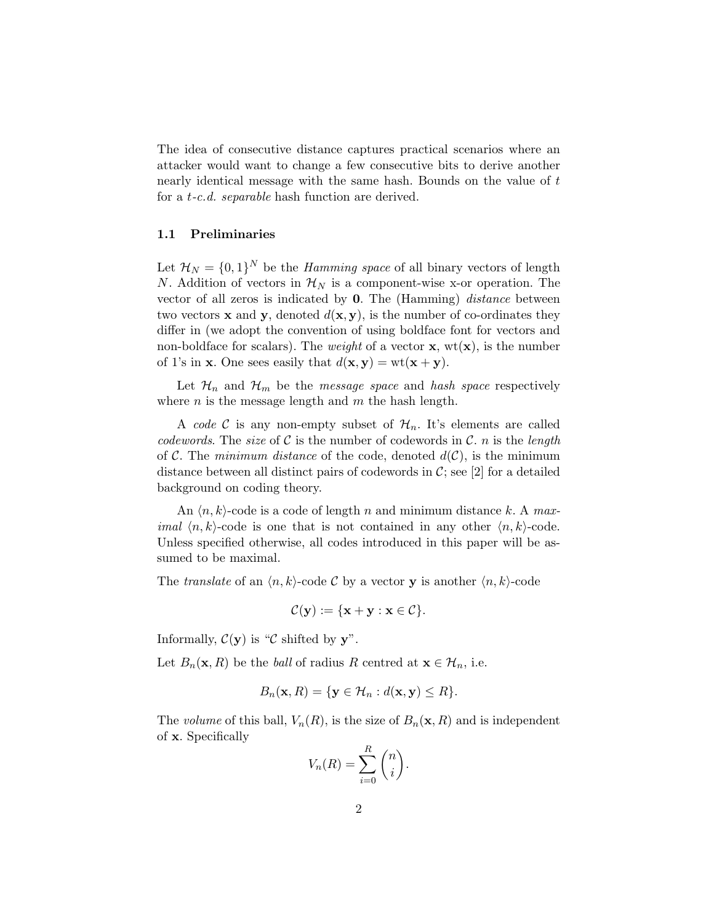The idea of consecutive distance captures practical scenarios where an attacker would want to change a few consecutive bits to derive another nearly identical message with the same hash. Bounds on the value of t for a t-c.d. separable hash function are derived.

#### 1.1 Preliminaries

Let  $\mathcal{H}_N = \{0,1\}^N$  be the *Hamming space* of all binary vectors of length N. Addition of vectors in  $\mathcal{H}_N$  is a component-wise x-or operation. The vector of all zeros is indicated by 0. The (Hamming) distance between two vectors **x** and **y**, denoted  $d(\mathbf{x}, \mathbf{y})$ , is the number of co-ordinates they differ in (we adopt the convention of using boldface font for vectors and non-boldface for scalars). The *weight* of a vector  $x$ ,  $wt(x)$ , is the number of 1's in **x**. One sees easily that  $d(\mathbf{x}, \mathbf{y}) = \text{wt}(\mathbf{x} + \mathbf{y})$ .

Let  $\mathcal{H}_n$  and  $\mathcal{H}_m$  be the *message space* and *hash space* respectively where  $n$  is the message length and  $m$  the hash length.

A code C is any non-empty subset of  $\mathcal{H}_n$ . It's elements are called *codewords*. The *size* of C is the number of codewords in C. n is the length of C. The minimum distance of the code, denoted  $d(C)$ , is the minimum distance between all distinct pairs of codewords in  $\mathcal{C}$ ; see [2] for a detailed background on coding theory.

An  $\langle n, k \rangle$ -code is a code of length n and minimum distance k. A max*imal*  $\langle n, k \rangle$ -code is one that is not contained in any other  $\langle n, k \rangle$ -code. Unless specified otherwise, all codes introduced in this paper will be assumed to be maximal.

The translate of an  $\langle n, k \rangle$ -code C by a vector y is another  $\langle n, k \rangle$ -code

$$
\mathcal{C}(\mathbf{y}) := \{\mathbf{x} + \mathbf{y} : \mathbf{x} \in \mathcal{C}\}.
$$

Informally,  $\mathcal{C}(\mathbf{y})$  is " $\mathcal{C}$  shifted by  $\mathbf{y}$ ".

Let  $B_n(\mathbf{x}, R)$  be the *ball* of radius R centred at  $\mathbf{x} \in \mathcal{H}_n$ , i.e.

$$
B_n(\mathbf{x}, R) = \{ \mathbf{y} \in \mathcal{H}_n : d(\mathbf{x}, \mathbf{y}) \leq R \}.
$$

The volume of this ball,  $V_n(R)$ , is the size of  $B_n(\mathbf{x}, R)$  and is independent of x. Specifically

$$
V_n(R) = \sum_{i=0}^R \binom{n}{i}.
$$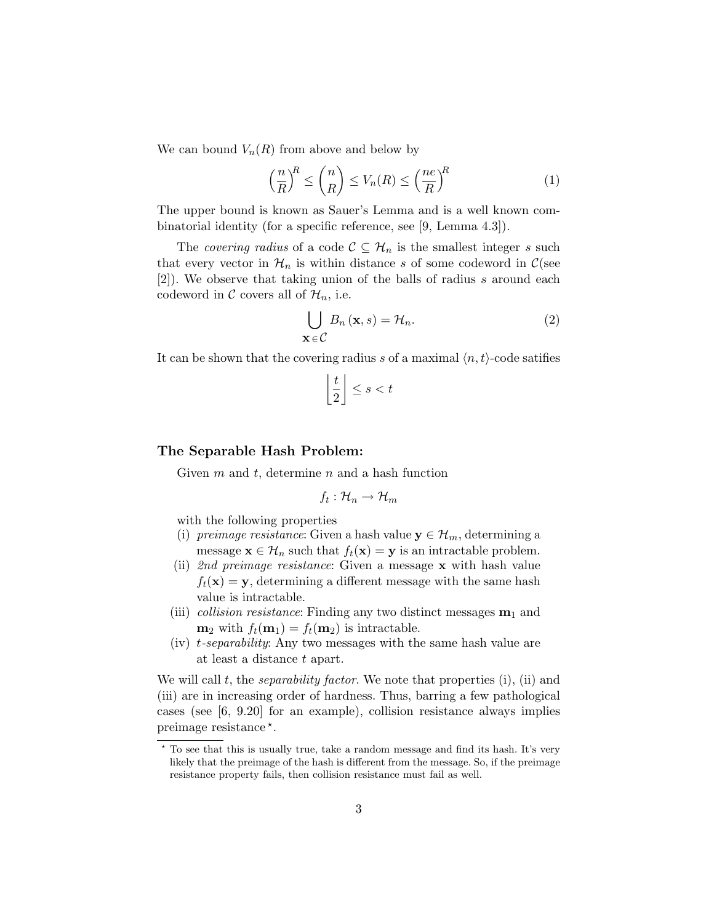We can bound  $V_n(R)$  from above and below by

$$
\left(\frac{n}{R}\right)^R \le \binom{n}{R} \le V_n(R) \le \left(\frac{ne}{R}\right)^R \tag{1}
$$

The upper bound is known as Sauer's Lemma and is a well known combinatorial identity (for a specific reference, see [9, Lemma 4.3]).

The covering radius of a code  $\mathcal{C} \subseteq \mathcal{H}_n$  is the smallest integer s such that every vector in  $\mathcal{H}_n$  is within distance s of some codeword in  $\mathcal{C}$ (see [2]). We observe that taking union of the balls of radius s around each codeword in  $\mathcal C$  covers all of  $\mathcal H_n$ , i.e.

$$
\bigcup_{\mathbf{x}\in\mathcal{C}}B_n\left(\mathbf{x},s\right)=\mathcal{H}_n.\tag{2}
$$

It can be shown that the covering radius s of a maximal  $\langle n, t \rangle$ -code satifies

$$
\left\lfloor \frac{t}{2} \right\rfloor \le s < t
$$

### The Separable Hash Problem:

Given  $m$  and  $t$ , determine  $n$  and a hash function

$$
f_t:\mathcal{H}_n\to\mathcal{H}_m
$$

with the following properties

- (i) preimage resistance: Given a hash value  $y \in \mathcal{H}_m$ , determining a message  $\mathbf{x} \in \mathcal{H}_n$  such that  $f_t(\mathbf{x}) = \mathbf{y}$  is an intractable problem.
- (ii) 2nd preimage resistance: Given a message x with hash value  $f_t(\mathbf{x}) = \mathbf{y}$ , determining a different message with the same hash value is intractable.
- (iii) collision resistance: Finding any two distinct messages  $m_1$  and  $\mathbf{m}_2$  with  $f_t(\mathbf{m}_1) = f_t(\mathbf{m}_2)$  is intractable.
- (iv) t-separability: Any two messages with the same hash value are at least a distance t apart.

We will call  $t$ , the *separability factor*. We note that properties  $(i)$ ,  $(ii)$  and (iii) are in increasing order of hardness. Thus, barring a few pathological cases (see [6, 9.20] for an example), collision resistance always implies preimage resistance<sup>\*</sup>.

<sup>?</sup> To see that this is usually true, take a random message and find its hash. It's very likely that the preimage of the hash is different from the message. So, if the preimage resistance property fails, then collision resistance must fail as well.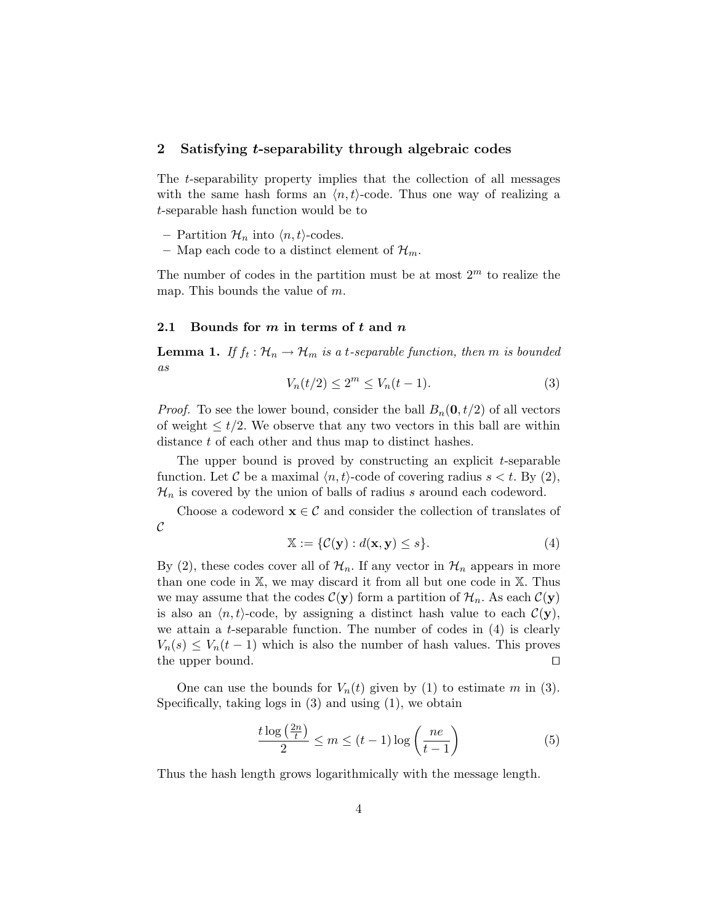#### 2 Satisfying t-separability through algebraic codes

The t-separability property implies that the collection of all messages with the same hash forms an  $\langle n, t \rangle$ -code. Thus one way of realizing a t-separable hash function would be to

- Partition  $\mathcal{H}_n$  into  $\langle n, t \rangle$ -codes.
- Map each code to a distinct element of  $\mathcal{H}_m$ .

The number of codes in the partition must be at most  $2<sup>m</sup>$  to realize the map. This bounds the value of  $m$ .

### 2.1 Bounds for  $m$  in terms of  $t$  and  $n$

**Lemma 1.** If  $f_t : \mathcal{H}_n \to \mathcal{H}_m$  is a t-separable function, then m is bounded as

$$
V_n(t/2) \le 2^m \le V_n(t-1). \tag{3}
$$

*Proof.* To see the lower bound, consider the ball  $B_n(0, t/2)$  of all vectors of weight  $\leq t/2$ . We observe that any two vectors in this ball are within distance t of each other and thus map to distinct hashes.

The upper bound is proved by constructing an explicit  $t$ -separable function. Let C be a maximal  $\langle n, t \rangle$ -code of covering radius  $s < t$ . By (2),  $\mathcal{H}_n$  is covered by the union of balls of radius s around each codeword.

Choose a codeword  $\mathbf{x} \in \mathcal{C}$  and consider the collection of translates of  $\mathcal{C}$ 

$$
\mathbb{X} := \{ \mathcal{C}(\mathbf{y}) : d(\mathbf{x}, \mathbf{y}) \le s \}. \tag{4}
$$

By (2), these codes cover all of  $\mathcal{H}_n$ . If any vector in  $\mathcal{H}_n$  appears in more than one code in X, we may discard it from all but one code in X. Thus we may assume that the codes  $\mathcal{C}(\mathbf{y})$  form a partition of  $\mathcal{H}_n$ . As each  $\mathcal{C}(\mathbf{y})$ is also an  $\langle n, t \rangle$ -code, by assigning a distinct hash value to each  $\mathcal{C}(\mathbf{y})$ , we attain a *t*-separable function. The number of codes in  $(4)$  is clearly  $V_n(s) \leq V_n(t-1)$  which is also the number of hash values. This proves the upper bound.  $\square$ 

One can use the bounds for  $V_n(t)$  given by (1) to estimate m in (3). Specifically, taking logs in  $(3)$  and using  $(1)$ , we obtain

$$
\frac{t\log\left(\frac{2n}{t}\right)}{2} \le m \le (t-1)\log\left(\frac{ne}{t-1}\right) \tag{5}
$$

Thus the hash length grows logarithmically with the message length.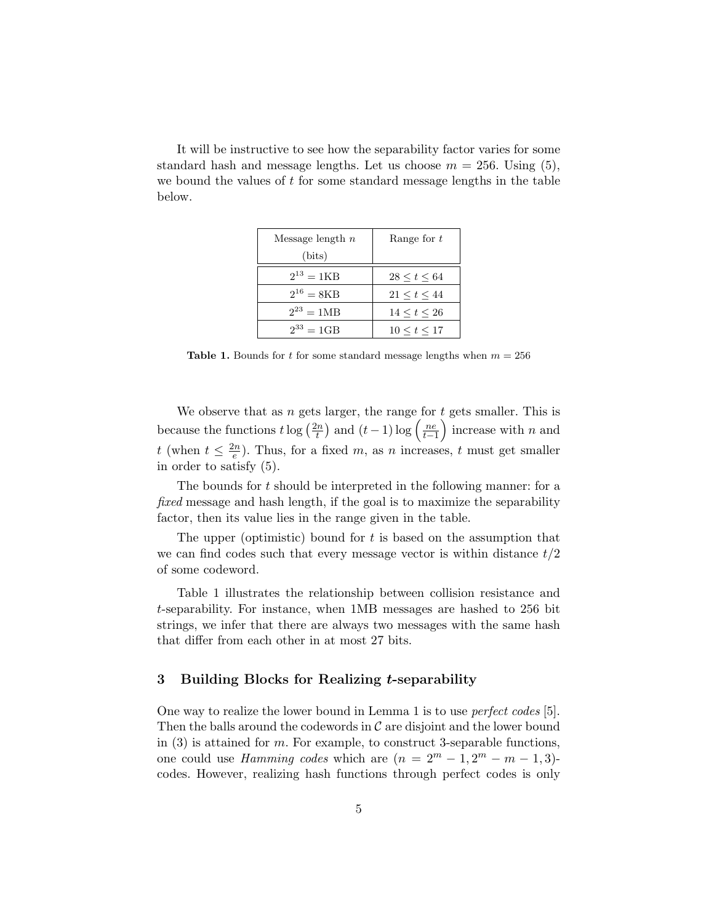It will be instructive to see how the separability factor varies for some standard hash and message lengths. Let us choose  $m = 256$ . Using (5), we bound the values of  $t$  for some standard message lengths in the table below.

| Message length $n$ | Range for t       |
|--------------------|-------------------|
| (bits)             |                   |
| $2^{13} = 1KB$     | 28 < t < 64       |
| $2^{16} = 8KB$     | $21 \le t \le 44$ |
| $2^{23} = 1MB$     | 14 < t < 26       |
| $2^{33} = 1$ GB    | $10 \le t \le 17$ |

Table 1. Bounds for t for some standard message lengths when  $m = 256$ 

We observe that as  $n$  gets larger, the range for  $t$  gets smaller. This is because the functions  $t \log \left( \frac{2n}{t} \right)$  $\left(\frac{tn}{t}\right)$  and  $(t-1)\log\left(\frac{ne}{t-1}\right)$  increase with n and t (when  $t \leq \frac{2n}{e}$  $\frac{dn}{e}$ ). Thus, for a fixed m, as n increases, t must get smaller in order to satisfy (5).

The bounds for  $t$  should be interpreted in the following manner: for a fixed message and hash length, if the goal is to maximize the separability factor, then its value lies in the range given in the table.

The upper (optimistic) bound for  $t$  is based on the assumption that we can find codes such that every message vector is within distance  $t/2$ of some codeword.

Table 1 illustrates the relationship between collision resistance and t-separability. For instance, when 1MB messages are hashed to 256 bit strings, we infer that there are always two messages with the same hash that differ from each other in at most 27 bits.

## 3 Building Blocks for Realizing t-separability

One way to realize the lower bound in Lemma 1 is to use perfect codes [5]. Then the balls around the codewords in  $\mathcal C$  are disjoint and the lower bound in  $(3)$  is attained for m. For example, to construct 3-separable functions, one could use *Hamming codes* which are  $(n = 2<sup>m</sup> - 1, 2<sup>m</sup> - m - 1, 3)$ codes. However, realizing hash functions through perfect codes is only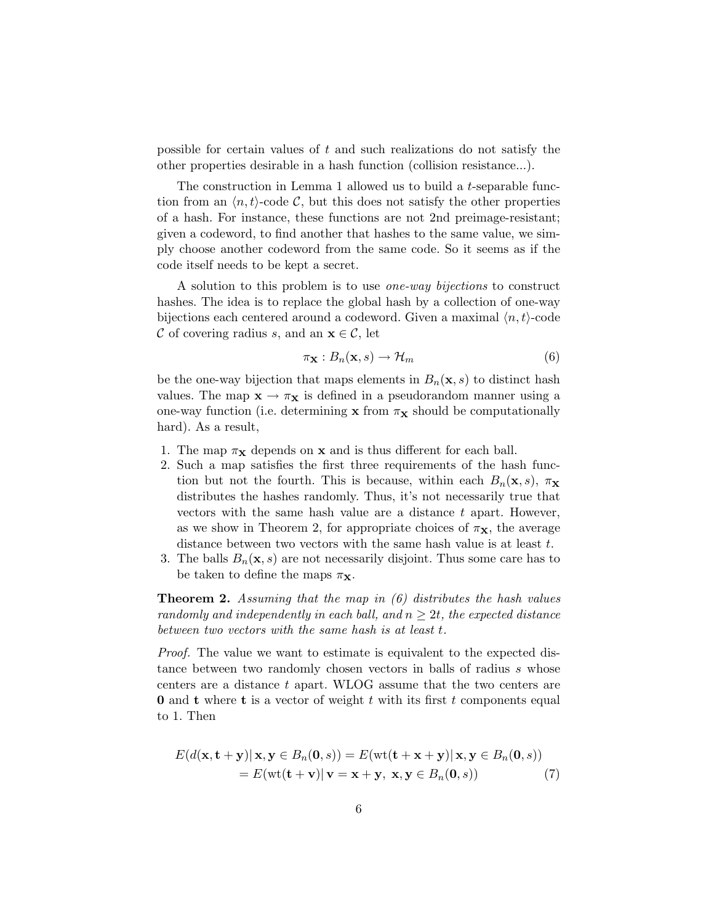possible for certain values of  $t$  and such realizations do not satisfy the other properties desirable in a hash function (collision resistance...).

The construction in Lemma 1 allowed us to build a t-separable function from an  $\langle n, t \rangle$ -code C, but this does not satisfy the other properties of a hash. For instance, these functions are not 2nd preimage-resistant; given a codeword, to find another that hashes to the same value, we simply choose another codeword from the same code. So it seems as if the code itself needs to be kept a secret.

A solution to this problem is to use one-way bijections to construct hashes. The idea is to replace the global hash by a collection of one-way bijections each centered around a codeword. Given a maximal  $\langle n, t \rangle$ -code C of covering radius s, and an  $\mathbf{x} \in \mathcal{C}$ , let

$$
\pi_{\mathbf{X}} : B_n(\mathbf{x}, s) \to \mathcal{H}_m \tag{6}
$$

be the one-way bijection that maps elements in  $B_n(\mathbf{x}, s)$  to distinct hash values. The map  $\mathbf{x} \to \pi_{\mathbf{X}}$  is defined in a pseudorandom manner using a one-way function (i.e. determining **x** from  $\pi$ **x** should be computationally hard). As a result,

- 1. The map  $\pi_{\mathbf{X}}$  depends on **x** and is thus different for each ball.
- 2. Such a map satisfies the first three requirements of the hash function but not the fourth. This is because, within each  $B_n(\mathbf{x}, s)$ ,  $\pi_{\mathbf{x}}$ distributes the hashes randomly. Thus, it's not necessarily true that vectors with the same hash value are a distance  $t$  apart. However, as we show in Theorem 2, for appropriate choices of  $\pi_{\mathbf{X}}$ , the average distance between two vectors with the same hash value is at least t.
- 3. The balls  $B_n(\mathbf{x}, s)$  are not necessarily disjoint. Thus some care has to be taken to define the maps  $\pi_{\mathbf{X}}$ .

**Theorem 2.** Assuming that the map in  $(6)$  distributes the hash values randomly and independently in each ball, and  $n \geq 2t$ , the expected distance between two vectors with the same hash is at least t.

Proof. The value we want to estimate is equivalent to the expected distance between two randomly chosen vectors in balls of radius s whose centers are a distance t apart. WLOG assume that the two centers are **0** and **t** where **t** is a vector of weight t with its first t components equal to 1. Then

$$
E(d(\mathbf{x}, \mathbf{t} + \mathbf{y}) | \mathbf{x}, \mathbf{y} \in B_n(\mathbf{0}, s)) = E(\text{wt}(\mathbf{t} + \mathbf{x} + \mathbf{y}) | \mathbf{x}, \mathbf{y} \in B_n(\mathbf{0}, s))
$$
  
=  $E(\text{wt}(\mathbf{t} + \mathbf{v}) | \mathbf{v} = \mathbf{x} + \mathbf{y}, \mathbf{x}, \mathbf{y} \in B_n(\mathbf{0}, s))$  (7)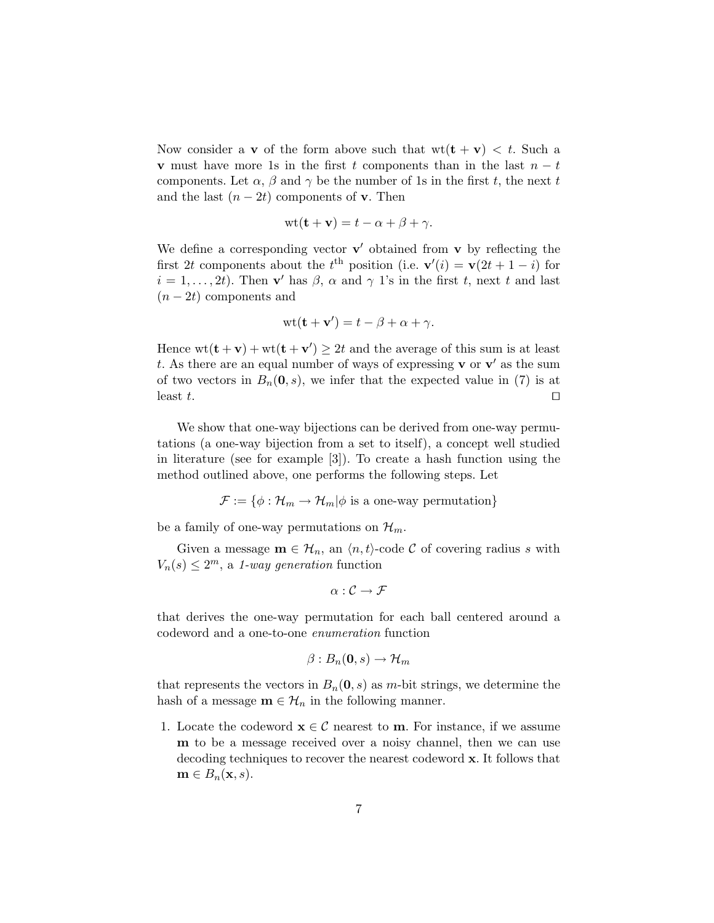Now consider a v of the form above such that  $wt(\mathbf{t} + \mathbf{v}) < t$ . Such a v must have more 1s in the first t components than in the last  $n - t$ components. Let  $\alpha$ ,  $\beta$  and  $\gamma$  be the number of 1s in the first t, the next t and the last  $(n-2t)$  components of v. Then

$$
wt(\mathbf{t} + \mathbf{v}) = t - \alpha + \beta + \gamma.
$$

We define a corresponding vector  $\mathbf{v}'$  obtained from  $\mathbf{v}$  by reflecting the first 2t components about the  $t<sup>th</sup>$  position (i.e.  $\mathbf{v}'(i) = \mathbf{v}(2t + 1 - i)$  for  $i = 1, \ldots, 2t$ . Then  $\mathbf{v}'$  has  $\beta$ ,  $\alpha$  and  $\gamma$  1's in the first t, next t and last  $(n-2t)$  components and

$$
wt(\mathbf{t} + \mathbf{v}') = t - \beta + \alpha + \gamma.
$$

Hence  $wt(\mathbf{t} + \mathbf{v}) + wt(\mathbf{t} + \mathbf{v}') \ge 2t$  and the average of this sum is at least t. As there are an equal number of ways of expressing  $\bf{v}$  or  $\bf{v}'$  as the sum of two vectors in  $B_n(0, s)$ , we infer that the expected value in (7) is at least  $t$ .

We show that one-way bijections can be derived from one-way permutations (a one-way bijection from a set to itself), a concept well studied in literature (see for example [3]). To create a hash function using the method outlined above, one performs the following steps. Let

$$
\mathcal{F} := \{ \phi : \mathcal{H}_m \to \mathcal{H}_m | \phi \text{ is a one-way permutation} \}
$$

be a family of one-way permutations on  $\mathcal{H}_m$ .

Given a message  $\mathbf{m} \in \mathcal{H}_n$ , an  $\langle n, t \rangle$ -code C of covering radius s with  $V_n(s) \leq 2^m$ , a 1-way generation function

$$
\alpha:\mathcal{C}\to\mathcal{F}
$$

that derives the one-way permutation for each ball centered around a codeword and a one-to-one enumeration function

$$
\beta:B_n(\mathbf{0},s)\to\mathcal{H}_m
$$

that represents the vectors in  $B_n(0, s)$  as m-bit strings, we determine the hash of a message  $\mathbf{m} \in \mathcal{H}_n$  in the following manner.

1. Locate the codeword  $\mathbf{x} \in \mathcal{C}$  nearest to **m**. For instance, if we assume m to be a message received over a noisy channel, then we can use decoding techniques to recover the nearest codeword x. It follows that  $\mathbf{m} \in B_n(\mathbf{x}, s).$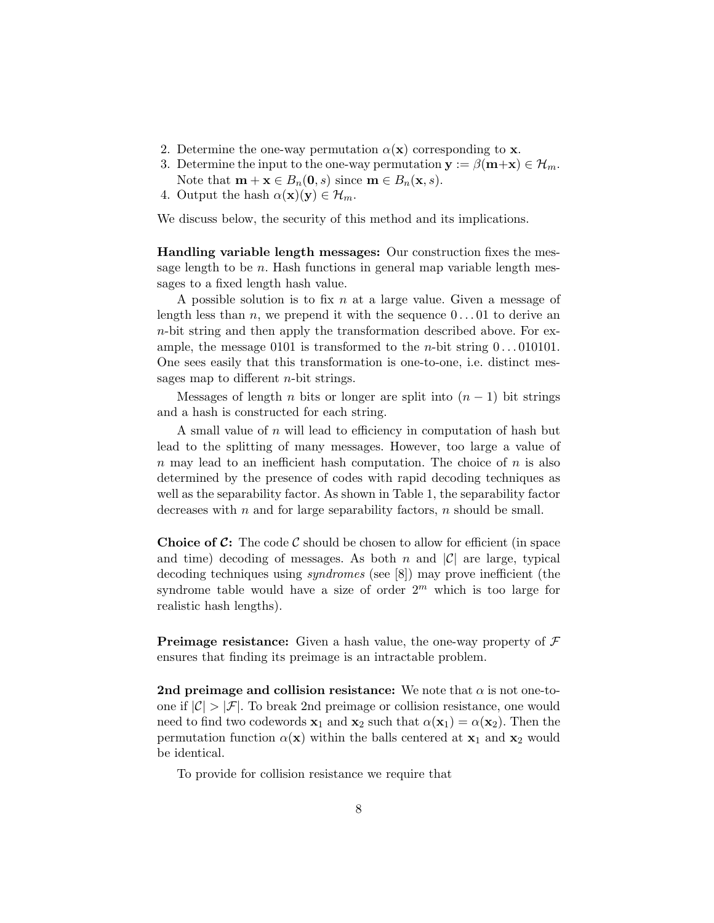- 2. Determine the one-way permutation  $\alpha(\mathbf{x})$  corresponding to **x**.
- 3. Determine the input to the one-way permutation  $\mathbf{y} := \beta(\mathbf{m}+\mathbf{x}) \in \mathcal{H}_m$ . Note that  $\mathbf{m} + \mathbf{x} \in B_n(\mathbf{0}, s)$  since  $\mathbf{m} \in B_n(\mathbf{x}, s)$ .
- 4. Output the hash  $\alpha(\mathbf{x})(\mathbf{y}) \in \mathcal{H}_m$ .

We discuss below, the security of this method and its implications.

Handling variable length messages: Our construction fixes the message length to be  $n$ . Hash functions in general map variable length messages to a fixed length hash value.

A possible solution is to fix  $n$  at a large value. Given a message of length less than n, we prepend it with the sequence  $0 \dots 01$  to derive an n-bit string and then apply the transformation described above. For example, the message 0101 is transformed to the *n*-bit string  $0 \dots 010101$ . One sees easily that this transformation is one-to-one, i.e. distinct messages map to different *n*-bit strings.

Messages of length *n* bits or longer are split into  $(n - 1)$  bit strings and a hash is constructed for each string.

A small value of n will lead to efficiency in computation of hash but lead to the splitting of many messages. However, too large a value of  $n$  may lead to an inefficient hash computation. The choice of  $n$  is also determined by the presence of codes with rapid decoding techniques as well as the separability factor. As shown in Table 1, the separability factor decreases with  $n$  and for large separability factors,  $n$  should be small.

**Choice of C:** The code  $\mathcal{C}$  should be chosen to allow for efficient (in space and time) decoding of messages. As both n and  $|\mathcal{C}|$  are large, typical decoding techniques using syndromes (see [8]) may prove inefficient (the syndrome table would have a size of order  $2^m$  which is too large for realistic hash lengths).

**Preimage resistance:** Given a hash value, the one-way property of  $\mathcal F$ ensures that finding its preimage is an intractable problem.

2nd preimage and collision resistance: We note that  $\alpha$  is not one-toone if  $|\mathcal{C}| > |\mathcal{F}|$ . To break 2nd preimage or collision resistance, one would need to find two codewords  $\mathbf{x}_1$  and  $\mathbf{x}_2$  such that  $\alpha(\mathbf{x}_1) = \alpha(\mathbf{x}_2)$ . Then the permutation function  $\alpha(\mathbf{x})$  within the balls centered at  $\mathbf{x}_1$  and  $\mathbf{x}_2$  would be identical.

To provide for collision resistance we require that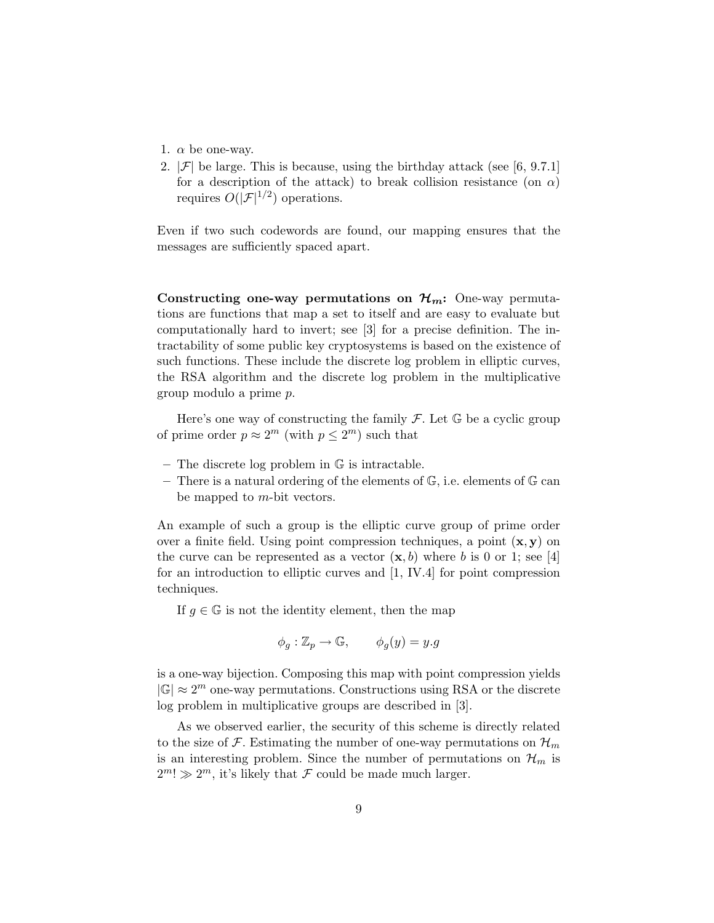- 1.  $\alpha$  be one-way.
- 2.  $|\mathcal{F}|$  be large. This is because, using the birthday attack (see [6, 9.7.1] for a description of the attack) to break collision resistance (on  $\alpha$ ) requires  $O(|\mathcal{F}|^{1/2})$  operations.

Even if two such codewords are found, our mapping ensures that the messages are sufficiently spaced apart.

Constructing one-way permutations on  $\mathcal{H}_m$ : One-way permutations are functions that map a set to itself and are easy to evaluate but computationally hard to invert; see [3] for a precise definition. The intractability of some public key cryptosystems is based on the existence of such functions. These include the discrete log problem in elliptic curves, the RSA algorithm and the discrete log problem in the multiplicative group modulo a prime p.

Here's one way of constructing the family  $\mathcal F$ . Let  $\mathbb G$  be a cyclic group of prime order  $p \approx 2^m$  (with  $p \leq 2^m$ ) such that

- The discrete log problem in G is intractable.
- There is a natural ordering of the elements of  $\mathbb{G}$ , i.e. elements of  $\mathbb{G}$  can be mapped to m-bit vectors.

An example of such a group is the elliptic curve group of prime order over a finite field. Using point compression techniques, a point  $(x, y)$  on the curve can be represented as a vector  $(x, b)$  where b is 0 or 1; see [4] for an introduction to elliptic curves and [1, IV.4] for point compression techniques.

If  $g \in \mathbb{G}$  is not the identity element, then the map

$$
\phi_g: \mathbb{Z}_p \to \mathbb{G}, \qquad \phi_g(y) = y.g
$$

is a one-way bijection. Composing this map with point compression yields  $|\mathbb{G}| \approx 2^m$  one-way permutations. Constructions using RSA or the discrete log problem in multiplicative groups are described in [3].

As we observed earlier, the security of this scheme is directly related to the size of  $\mathcal F$ . Estimating the number of one-way permutations on  $\mathcal H_m$ is an interesting problem. Since the number of permutations on  $\mathcal{H}_m$  is  $2^m! \gg 2^m$ , it's likely that  $\mathcal F$  could be made much larger.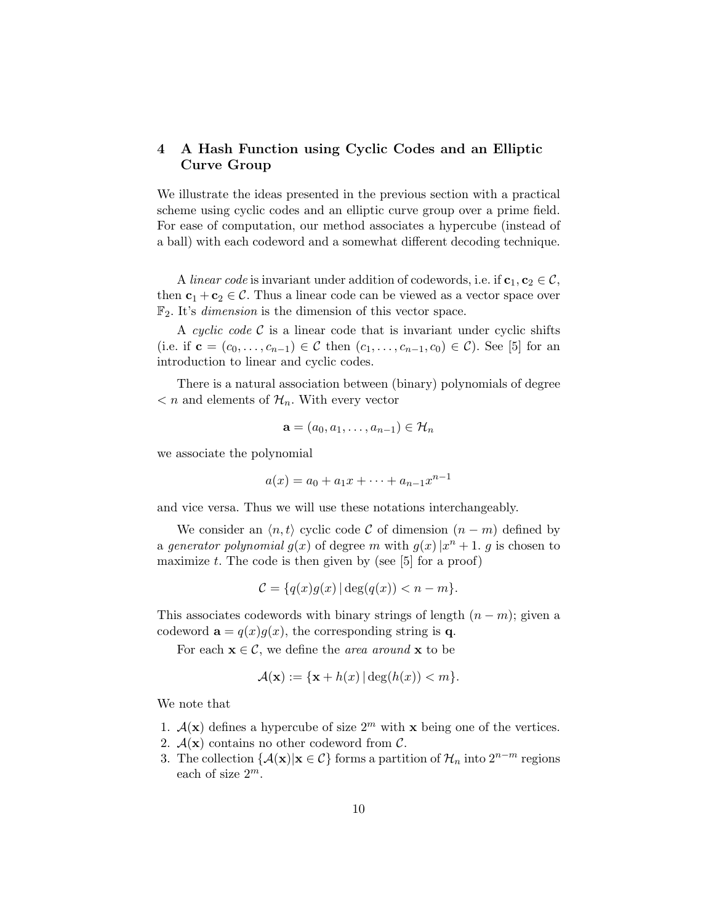# 4 A Hash Function using Cyclic Codes and an Elliptic Curve Group

We illustrate the ideas presented in the previous section with a practical scheme using cyclic codes and an elliptic curve group over a prime field. For ease of computation, our method associates a hypercube (instead of a ball) with each codeword and a somewhat different decoding technique.

A linear code is invariant under addition of codewords, i.e. if  $c_1, c_2 \in C$ , then  $c_1 + c_2 \in \mathcal{C}$ . Thus a linear code can be viewed as a vector space over  $\mathbb{F}_2$ . It's *dimension* is the dimension of this vector space.

A cyclic code  $\mathcal C$  is a linear code that is invariant under cyclic shifts (i.e. if  $\mathbf{c} = (c_0, \ldots, c_{n-1}) \in \mathcal{C}$  then  $(c_1, \ldots, c_{n-1}, c_0) \in \mathcal{C}$ ). See [5] for an introduction to linear and cyclic codes.

There is a natural association between (binary) polynomials of degree  $\langle n \rangle$  and elements of  $\mathcal{H}_n$ . With every vector

$$
\mathbf{a}=(a_0,a_1,\ldots,a_{n-1})\in\mathcal{H}_n
$$

we associate the polynomial

$$
a(x) = a_0 + a_1x + \dots + a_{n-1}x^{n-1}
$$

and vice versa. Thus we will use these notations interchangeably.

We consider an  $\langle n, t \rangle$  cyclic code C of dimension  $(n - m)$  defined by a generator polynomial  $g(x)$  of degree m with  $g(x)|x^n + 1$ . g is chosen to maximize  $t$ . The code is then given by (see [5] for a proof)

$$
\mathcal{C} = \{q(x)g(x) | \deg(q(x)) < n - m\}.
$$

This associates codewords with binary strings of length  $(n - m)$ ; given a codeword  $\mathbf{a} = q(x)g(x)$ , the corresponding string is q.

For each  $\mathbf{x} \in \mathcal{C}$ , we define the *area around*  $\mathbf{x}$  to be

$$
\mathcal{A}(\mathbf{x}) := \{ \mathbf{x} + h(x) \, | \, \deg(h(x)) < m \}.
$$

We note that

- 1.  $\mathcal{A}(\mathbf{x})$  defines a hypercube of size  $2^m$  with x being one of the vertices.
- 2.  $\mathcal{A}(\mathbf{x})$  contains no other codeword from  $\mathcal{C}$ .
- 3. The collection  $\{\mathcal{A}(\mathbf{x})|\mathbf{x}\in\mathcal{C}\}\)$  forms a partition of  $\mathcal{H}_n$  into  $2^{n-m}$  regions each of size  $2^m$ .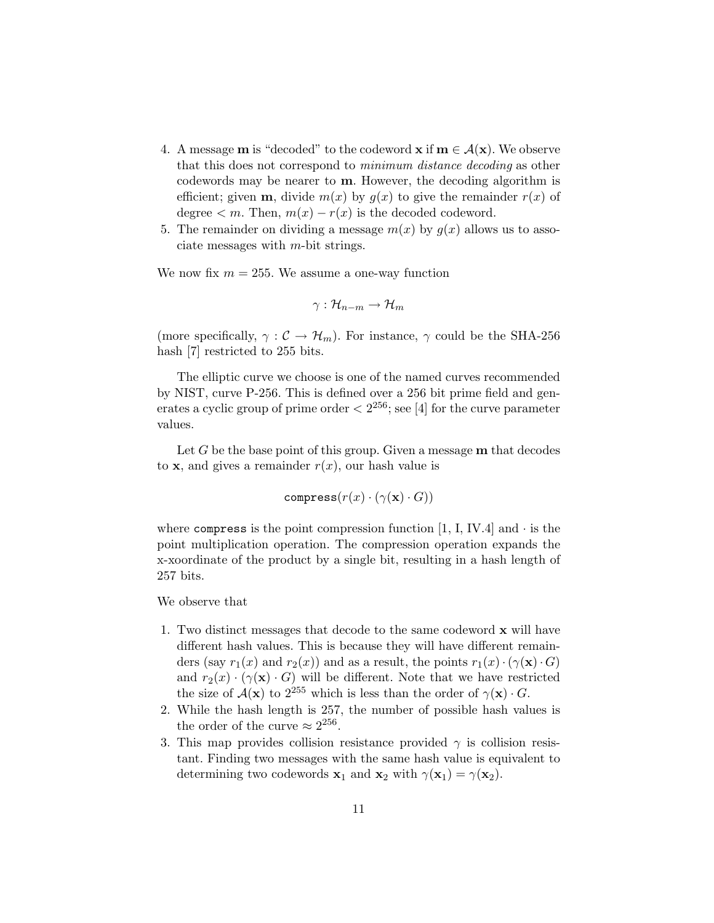- 4. A message **m** is "decoded" to the codeword **x** if  $\mathbf{m} \in \mathcal{A}(\mathbf{x})$ . We observe that this does not correspond to minimum distance decoding as other codewords may be nearer to m. However, the decoding algorithm is efficient; given **m**, divide  $m(x)$  by  $g(x)$  to give the remainder  $r(x)$  of degree  $\lt m$ . Then,  $m(x) - r(x)$  is the decoded codeword.
- 5. The remainder on dividing a message  $m(x)$  by  $g(x)$  allows us to associate messages with m-bit strings.

We now fix  $m = 255$ . We assume a one-way function

$$
\gamma: \mathcal{H}_{n-m} \to \mathcal{H}_m
$$

(more specifically,  $\gamma : \mathcal{C} \to \mathcal{H}_m$ ). For instance,  $\gamma$  could be the SHA-256 hash [7] restricted to 255 bits.

The elliptic curve we choose is one of the named curves recommended by NIST, curve P-256. This is defined over a 256 bit prime field and generates a cyclic group of prime order  $\langle 2^{256}$ ; see [4] for the curve parameter values.

Let  $G$  be the base point of this group. Given a message  **that decodes** to **x**, and gives a remainder  $r(x)$ , our hash value is

compress $(r(x) \cdot (\gamma(\mathbf{x}) \cdot G))$ 

where compress is the point compression function [1, I, IV.4] and  $\cdot$  is the point multiplication operation. The compression operation expands the x-xoordinate of the product by a single bit, resulting in a hash length of 257 bits.

We observe that

- 1. Two distinct messages that decode to the same codeword x will have different hash values. This is because they will have different remainders (say  $r_1(x)$  and  $r_2(x)$ ) and as a result, the points  $r_1(x) \cdot (\gamma(x) \cdot G)$ and  $r_2(x) \cdot (\gamma(x) \cdot G)$  will be different. Note that we have restricted the size of  $\mathcal{A}(\mathbf{x})$  to  $2^{255}$  which is less than the order of  $\gamma(\mathbf{x}) \cdot G$ .
- 2. While the hash length is 257, the number of possible hash values is the order of the curve  $\approx 2^{256}$ .
- 3. This map provides collision resistance provided  $\gamma$  is collision resistant. Finding two messages with the same hash value is equivalent to determining two codewords  $\mathbf{x}_1$  and  $\mathbf{x}_2$  with  $\gamma(\mathbf{x}_1) = \gamma(\mathbf{x}_2)$ .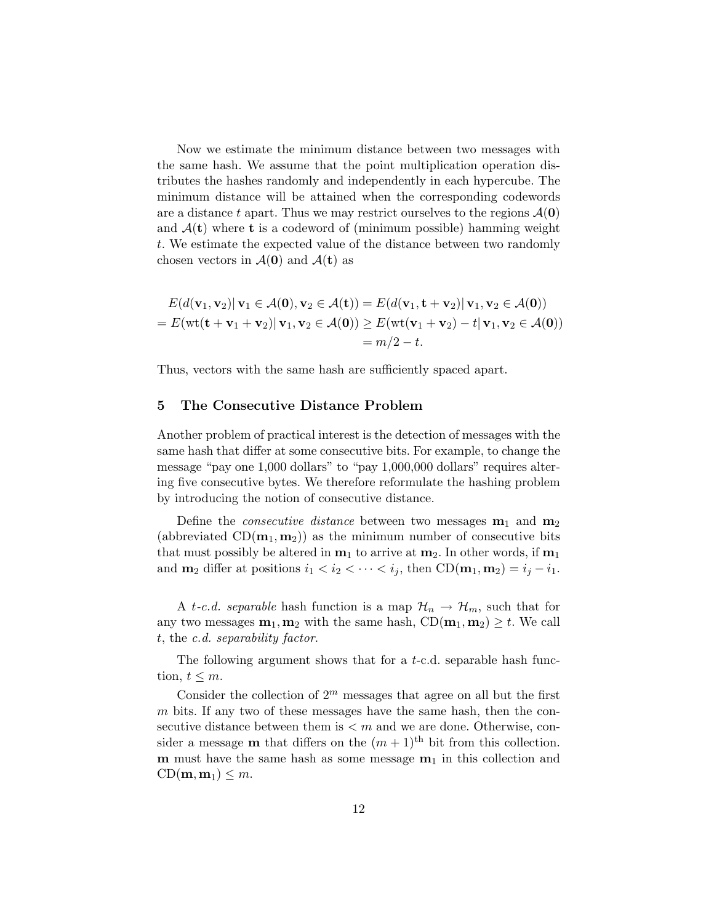Now we estimate the minimum distance between two messages with the same hash. We assume that the point multiplication operation distributes the hashes randomly and independently in each hypercube. The minimum distance will be attained when the corresponding codewords are a distance t apart. Thus we may restrict ourselves to the regions  $\mathcal{A}(0)$ and  $A(t)$  where t is a codeword of (minimum possible) hamming weight t. We estimate the expected value of the distance between two randomly chosen vectors in  $\mathcal{A}(\mathbf{0})$  and  $\mathcal{A}(\mathbf{t})$  as

$$
E(d(\mathbf{v}_1, \mathbf{v}_2) | \mathbf{v}_1 \in \mathcal{A}(\mathbf{0}), \mathbf{v}_2 \in \mathcal{A}(\mathbf{t})) = E(d(\mathbf{v}_1, \mathbf{t} + \mathbf{v}_2) | \mathbf{v}_1, \mathbf{v}_2 \in \mathcal{A}(\mathbf{0}))
$$
  
=  $E(\text{wt}(\mathbf{t} + \mathbf{v}_1 + \mathbf{v}_2) | \mathbf{v}_1, \mathbf{v}_2 \in \mathcal{A}(\mathbf{0})) \ge E(\text{wt}(\mathbf{v}_1 + \mathbf{v}_2) - t | \mathbf{v}_1, \mathbf{v}_2 \in \mathcal{A}(\mathbf{0}))$   
=  $m/2 - t$ .

Thus, vectors with the same hash are sufficiently spaced apart.

#### 5 The Consecutive Distance Problem

Another problem of practical interest is the detection of messages with the same hash that differ at some consecutive bits. For example, to change the message "pay one 1,000 dollars" to "pay 1,000,000 dollars" requires altering five consecutive bytes. We therefore reformulate the hashing problem by introducing the notion of consecutive distance.

Define the *consecutive distance* between two messages  $m_1$  and  $m_2$ (abbreviated  $CD(\mathbf{m}_1, \mathbf{m}_2)$ ) as the minimum number of consecutive bits that must possibly be altered in  $m_1$  to arrive at  $m_2$ . In other words, if  $m_1$ and  $\mathbf{m}_2$  differ at positions  $i_1 < i_2 < \cdots < i_j$ , then  $CD(\mathbf{m}_1, \mathbf{m}_2) = i_j - i_1$ .

A t-c.d. separable hash function is a map  $\mathcal{H}_n \to \mathcal{H}_m$ , such that for any two messages  $m_1, m_2$  with the same hash,  $CD(m_1, m_2) \geq t$ . We call t, the c.d. separability factor.

The following argument shows that for a t-c.d. separable hash function,  $t \leq m$ .

Consider the collection of  $2<sup>m</sup>$  messages that agree on all but the first  $m$  bits. If any two of these messages have the same hash, then the consecutive distance between them is  $\lt m$  and we are done. Otherwise, consider a message **m** that differs on the  $(m + 1)$ <sup>th</sup> bit from this collection. **m** must have the same hash as some message  $m_1$  in this collection and  $CD(m, m_1) \leq m$ .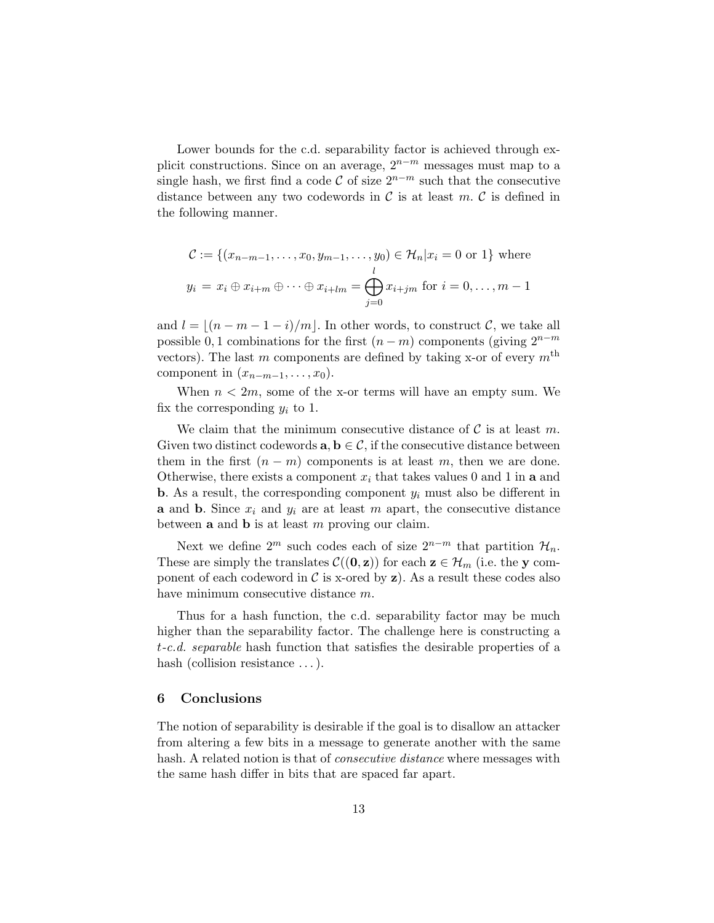Lower bounds for the c.d. separability factor is achieved through explicit constructions. Since on an average,  $2^{n-m}$  messages must map to a single hash, we first find a code  $\mathcal C$  of size  $2^{n-m}$  such that the consecutive distance between any two codewords in  $\mathcal C$  is at least m.  $\mathcal C$  is defined in the following manner.

$$
\mathcal{C} := \{(x_{n-m-1}, \dots, x_0, y_{m-1}, \dots, y_0) \in \mathcal{H}_n | x_i = 0 \text{ or } 1\} \text{ where}
$$

$$
y_i = x_i \oplus x_{i+m} \oplus \dots \oplus x_{i+lm} = \bigoplus_{j=0}^l x_{i+jm} \text{ for } i = 0, \dots, m-1
$$

and  $l = (n - m - 1 - i)/m$ . In other words, to construct C, we take all possible 0, 1 combinations for the first  $(n - m)$  components (giving  $2^{n-m}$ ) vectors). The last m components are defined by taking x-or of every  $m<sup>th</sup>$ component in  $(x_{n-m-1}, \ldots, x_0)$ .

When  $n < 2m$ , some of the x-or terms will have an empty sum. We fix the corresponding  $y_i$  to 1.

We claim that the minimum consecutive distance of  $\mathcal C$  is at least m. Given two distinct codewords  $\mathbf{a}, \mathbf{b} \in \mathcal{C}$ , if the consecutive distance between them in the first  $(n - m)$  components is at least m, then we are done. Otherwise, there exists a component  $x_i$  that takes values 0 and 1 in a and **b.** As a result, the corresponding component  $y_i$  must also be different in **a** and **b**. Since  $x_i$  and  $y_i$  are at least m apart, the consecutive distance between  $\bf{a}$  and  $\bf{b}$  is at least m proving our claim.

Next we define  $2^m$  such codes each of size  $2^{n-m}$  that partition  $\mathcal{H}_n$ . These are simply the translates  $\mathcal{C}((0, z))$  for each  $z \in \mathcal{H}_m$  (i.e. the y component of each codeword in  $\mathcal C$  is x-ored by  $\mathbf z$ ). As a result these codes also have minimum consecutive distance m.

Thus for a hash function, the c.d. separability factor may be much higher than the separability factor. The challenge here is constructing a t-c.d. separable hash function that satisfies the desirable properties of a hash (collision resistance ...).

### 6 Conclusions

The notion of separability is desirable if the goal is to disallow an attacker from altering a few bits in a message to generate another with the same hash. A related notion is that of *consecutive distance* where messages with the same hash differ in bits that are spaced far apart.